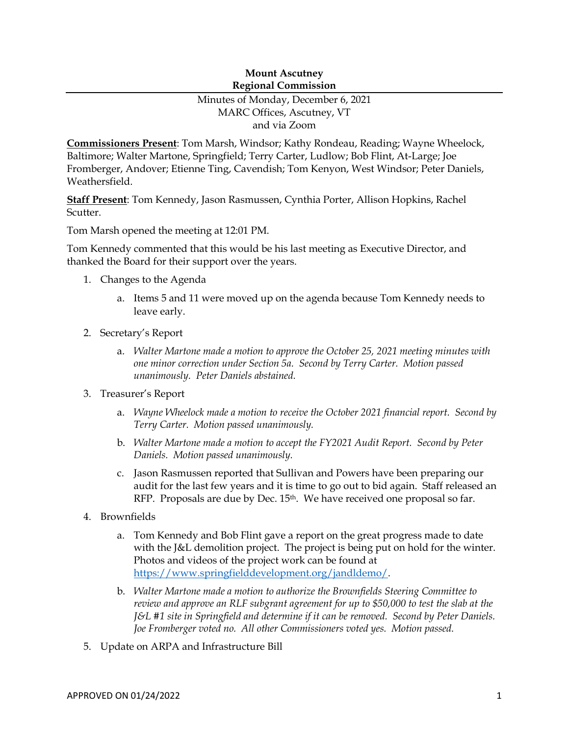## **Mount Ascutney Regional Commission**

## Minutes of Monday, December 6, 2021 MARC Offices, Ascutney, VT and via Zoom

**Commissioners Present**: Tom Marsh, Windsor; Kathy Rondeau, Reading; Wayne Wheelock, Baltimore; Walter Martone, Springfield; Terry Carter, Ludlow; Bob Flint, At-Large; Joe Fromberger, Andover; Etienne Ting, Cavendish; Tom Kenyon, West Windsor; Peter Daniels, Weathersfield.

**Staff Present**: Tom Kennedy, Jason Rasmussen, Cynthia Porter, Allison Hopkins, Rachel Scutter.

Tom Marsh opened the meeting at 12:01 PM.

Tom Kennedy commented that this would be his last meeting as Executive Director, and thanked the Board for their support over the years.

- 1. Changes to the Agenda
	- a. Items 5 and 11 were moved up on the agenda because Tom Kennedy needs to leave early.
- 2. Secretary's Report
	- a. *Walter Martone made a motion to approve the October 25, 2021 meeting minutes with one minor correction under Section 5a. Second by Terry Carter. Motion passed unanimously. Peter Daniels abstained.*
- 3. Treasurer's Report
	- a. *Wayne Wheelock made a motion to receive the October 2021 financial report. Second by Terry Carter. Motion passed unanimously.*
	- b. *Walter Martone made a motion to accept the FY2021 Audit Report. Second by Peter Daniels. Motion passed unanimously.*
	- c. Jason Rasmussen reported that Sullivan and Powers have been preparing our audit for the last few years and it is time to go out to bid again. Staff released an RFP. Proposals are due by Dec. 15<sup>th</sup>. We have received one proposal so far.
- 4. Brownfields
	- a. Tom Kennedy and Bob Flint gave a report on the great progress made to date with the J&L demolition project. The project is being put on hold for the winter. Photos and videos of the project work can be found at [https://www.springfielddevelopment.org/jandldemo/.](https://www.springfielddevelopment.org/jandldemo/)
	- b. *Walter Martone made a motion to authorize the Brownfields Steering Committee to review and approve an RLF subgrant agreement for up to \$50,000 to test the slab at the J&L #1 site in Springfield and determine if it can be removed. Second by Peter Daniels. Joe Fromberger voted no. All other Commissioners voted yes. Motion passed.*
- 5. Update on ARPA and Infrastructure Bill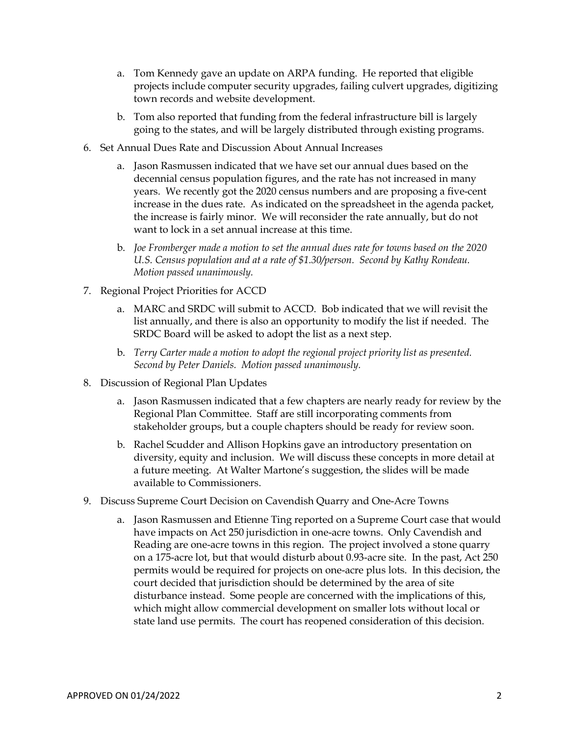- a. Tom Kennedy gave an update on ARPA funding. He reported that eligible projects include computer security upgrades, failing culvert upgrades, digitizing town records and website development.
- b. Tom also reported that funding from the federal infrastructure bill is largely going to the states, and will be largely distributed through existing programs.
- 6. Set Annual Dues Rate and Discussion About Annual Increases
	- a. Jason Rasmussen indicated that we have set our annual dues based on the decennial census population figures, and the rate has not increased in many years. We recently got the 2020 census numbers and are proposing a five-cent increase in the dues rate. As indicated on the spreadsheet in the agenda packet, the increase is fairly minor. We will reconsider the rate annually, but do not want to lock in a set annual increase at this time.
	- b. *Joe Fromberger made a motion to set the annual dues rate for towns based on the 2020 U.S. Census population and at a rate of \$1.30/person. Second by Kathy Rondeau. Motion passed unanimously.*
- 7. Regional Project Priorities for ACCD
	- a. MARC and SRDC will submit to ACCD. Bob indicated that we will revisit the list annually, and there is also an opportunity to modify the list if needed. The SRDC Board will be asked to adopt the list as a next step.
	- b. *Terry Carter made a motion to adopt the regional project priority list as presented. Second by Peter Daniels. Motion passed unanimously.*
- 8. Discussion of Regional Plan Updates
	- a. Jason Rasmussen indicated that a few chapters are nearly ready for review by the Regional Plan Committee. Staff are still incorporating comments from stakeholder groups, but a couple chapters should be ready for review soon.
	- b. Rachel Scudder and Allison Hopkins gave an introductory presentation on diversity, equity and inclusion. We will discuss these concepts in more detail at a future meeting. At Walter Martone's suggestion, the slides will be made available to Commissioners.
- 9. Discuss Supreme Court Decision on Cavendish Quarry and One-Acre Towns
	- a. Jason Rasmussen and Etienne Ting reported on a Supreme Court case that would have impacts on Act 250 jurisdiction in one-acre towns. Only Cavendish and Reading are one-acre towns in this region. The project involved a stone quarry on a 175-acre lot, but that would disturb about 0.93-acre site. In the past, Act 250 permits would be required for projects on one-acre plus lots. In this decision, the court decided that jurisdiction should be determined by the area of site disturbance instead. Some people are concerned with the implications of this, which might allow commercial development on smaller lots without local or state land use permits. The court has reopened consideration of this decision.